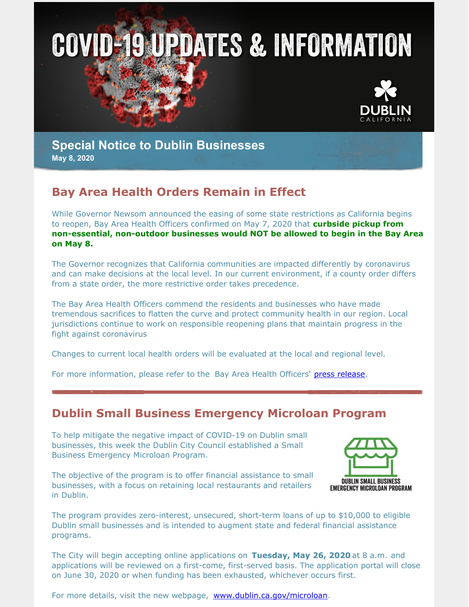



### **Special Notice to Dublin Businesses May 8, 2020**

## **Bay Area Health Orders Remain in Effect**

While Governor Newsom announced the easing of some state restrictions as California begins to reopen, Bay Area Health Officers confirmed on May 7, 2020 that **curbside pickup from non-essential, non-outdoor businesses would NOT be allowed to begin in the Bay Area on May 8.**

The Governor recognizes that California communities are impacted differently by coronavirus and can make decisions at the local level. In our current environment, if a county order differs from a state order, the more restrictive order takes precedence.

The Bay Area Health Officers commend the residents and businesses who have made tremendous sacrifices to flatten the curve and protect community health in our region. Local jurisdictions continue to work on responsible reopening plans that maintain progress in the fight against coronavirus

Changes to current local health orders will be evaluated at the local and regional level.

For more information, please refer to the Bay Area Health Officers' press [release](http://www.acphd.org/media/574525/press-release-2020.05.07.pdf).

# **Dublin Small Business Emergency Microloan Program**

To help mitigate the negative impact of COVID-19 on Dublin small businesses, this week the Dublin City Council established a Small Business Emergency Microloan Program.

The objective of the program is to offer financial assistance to small businesses, with a focus on retaining local restaurants and retailers in Dublin.



The program provides zero-interest, unsecured, short-term loans of up to \$10,000 to eligible Dublin small businesses and is intended to augment state and federal financial assistance programs.

The City will begin accepting online applications on **Tuesday, May 26, 2020** at 8 a.m. and applications will be reviewed on a first-come, first-served basis. The application portal will close on June 30, 2020 or when funding has been exhausted, whichever occurs first.

For more details, visit the new webpage, [www.dublin.ca.gov/microloan](http://www.dublin.ca.gov/microloan).